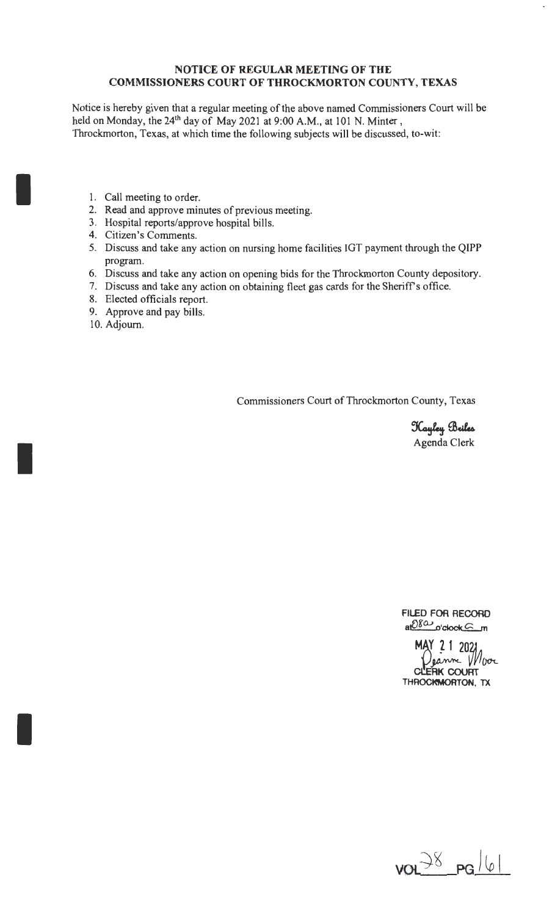### **NOTICE OF REGULAR MEETING OF THE COMMISSIONERS COURT OF THROCKMORTON COUNTY, TEXAS**

Notice is hereby given that a regular meeting of the above named Commissioners Court will be held on Monday, the  $24<sup>th</sup>$  day of May 2021 at 9:00 A.M., at 101 N. Minter, Throckmorton, Texas, at which time the following subjects will be discussed, to-wit:

- 1. Call meeting to order.
- 2. Read and approve minutes of previous meeting.
- 3. Hospital reports/approve hospital bills.
- 4. Citizen's Comments.
- 5. Discuss and take any action on nursing home facilities IGT payment through the QIPP program.
- 6. Discuss and take any action on opening bids for the Throckmorton County depository.
- 7. Discuss and take any action on obtaining fleet gas cards for the Sheriff's office.
- 8. Elected officials report.
- 9. Approve and pay bills.
- 10. Adjourn.

I

I

I

Commissioners Court of Throckmorton County, Texas

Kayley Beiles Agenda Clerk

**FILED FOR RECORD**   $a \cdot b \cdot g$  o'clock  $\subseteq$  m

MAY 21 2021 **CCERK COURT**  THROCKWORTON, TX

 $VOP^{38}$   $PGP^{16}$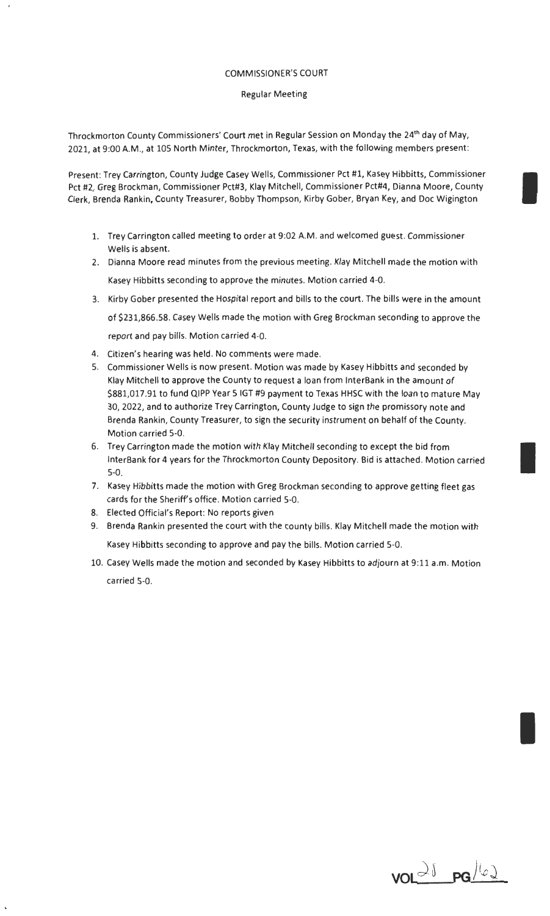#### COMMISSIONER'S COURT

#### Regular Meeting

Throckmorton County Commissioners' Court met in Regular Session on Monday the 24th day of May, 2021, at 9:00 A.M., at 105 North Minter, Throckmorton, Texas, with the following members present:

Present: Trey Carrington, County Judge Casey Wells, Commissioner Pct #1, Kasey Hibbitts, Commissioner I Pct #2, Greg Brockman, Commissioner Pct#3, Klay Mitchell, Commissioner Pct#4, Dianna Moore, County Clerk, Brenda Rankin, County Treasurer, Bobby Thompson, Kirby Gober, Bryan Key, and Doc Wigington

- 1. Trey Carrington called meeting to order at 9:02 A.M. and welcomed guest. Commissioner Wells is absent.
- 2. Dianna Moore read minutes from the previous meeting. Klay Mitchell made the motion with Kasey Hibbitts seconding to approve the minutes. Motion carried 4-0.
- 3. Kirby Gober presented the Hospital report and bills to the court. The bills were in the amount of \$231,866.58. Casey Wells made the motion with Greg Brockman seconding to approve the report and pay bills. Motion carried 4-0.
- 4. Citizen's hearing was held. No comments were made.
- 5. Commissioner Wells is now present. Motion was made by Kasey Hibbitts and seconded by Klay Mitchell to approve the County to request a loan from lnterBank in the amount of \$881,017.91 to fund QIPP Year 5 IGT #9 payment to Texas HHSC with the loan to mature May 30, 2022, and to authorize Trey Carrington, County Judge to sign the promissory note and Brenda Rankin, County Treasurer, to sign the security instrument on behalf of the County. Motion carried 5-0.
- 6. Trey Carrington made the motion with Klay Mitchell seconding to except the bid from lnterBank for 4 years for the Throckmorton County Depository. Bid is attached. Motion carried 5-0.
- 7. Kasey Hibbitts made the motion with Greg Brockman seconding to approve getting fleet gas cards for the Sheriff's office. Motion carried 5-0.
- 8. Elected Official's Report: No reports given
- 9. Brenda Rankin presented the court with the county bills. Klay Mitchell made the motion with Kasey Hibbitts seconding to approve and pay the bills. Motion carried 5-0.
- 10. Casey Wells made the motion and seconded by Kasey Hibbitts to adjourn at 9:11 a.m. Motion carried 5-0.

 $\frac{1}{\sqrt{1-\omega}}$   $\frac{1}{\sqrt{1-\omega}}$ 

I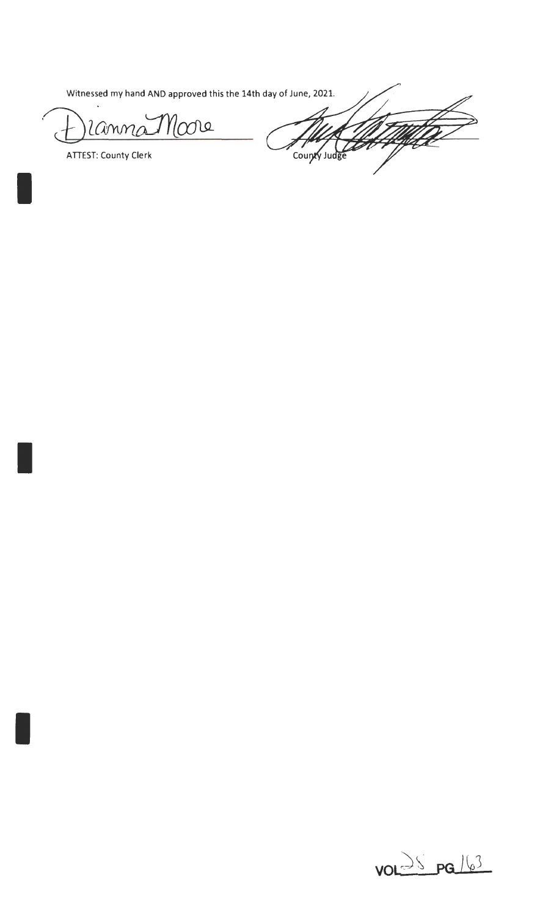Witnessed my hand AND approved this the 14th day of June, 2021.

 $\eta_{\mathcal{O}}$ re Lanne

**ATTEST: County Clerk** 

U TUTTA County Judge

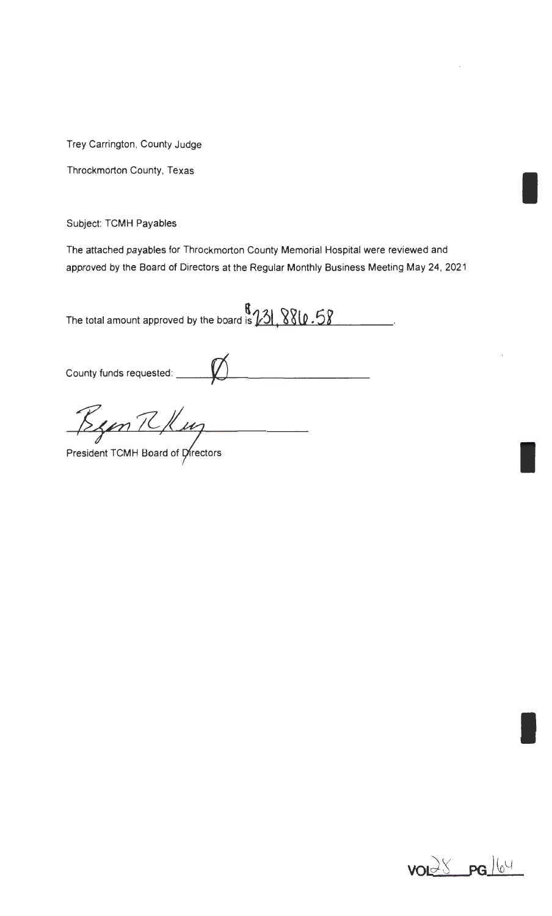Trey Carrington, County Judge

Throckmorton County, Texas

Subject: TCMH Payables

The attached payables for Throckmorton County Memorial Hospital were reviewed and approved by the Board of Directors at the Regular Monthly Business Meeting May 24, 2021

The total amount approved by the board is  $\frac{8}{23!}, \frac{880.58}{800}$ .

County funds requested:  $\bigotimes$ 

Been R Kuy



I

I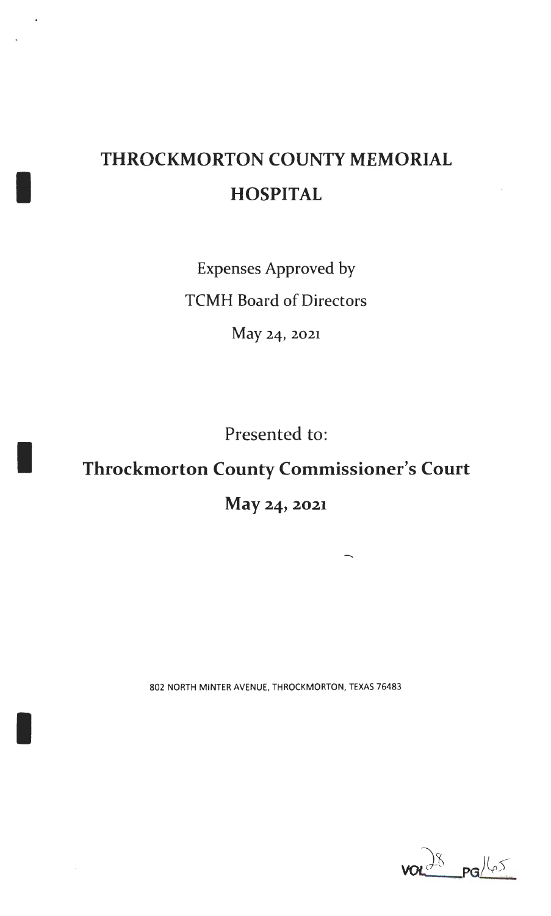## **THROCKMORTON COUNTY MEMORIAL HOSPITAL**

I

I

I

Expenses Approved by TCMH Board of Directors

May 24, 2021

Presented to:

### **Throckmorton County Commissioner's Court**

### **May** 24, **2021**

802 NORTH MINTER AVENUE, THROCKMORTON, TEXAS 76483

 $28$   $PGL(25)$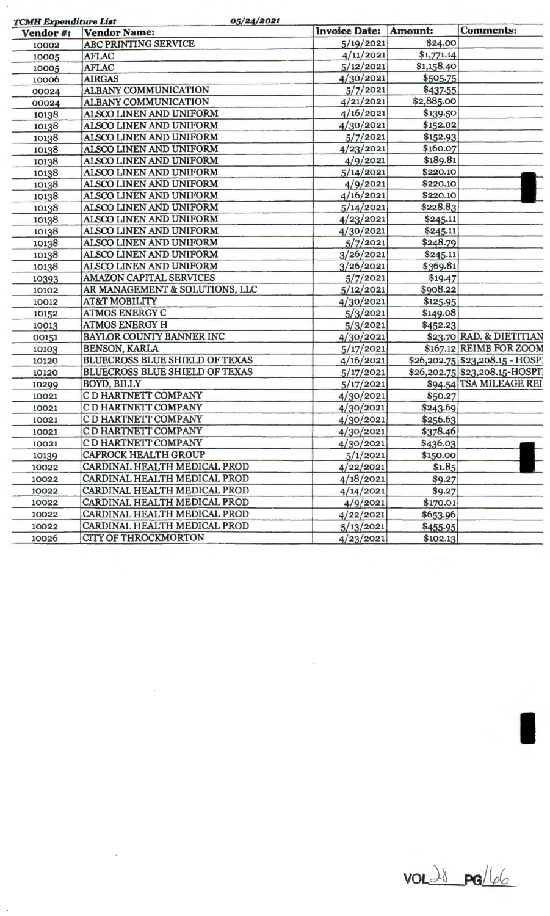| Vendor#: | <b>TCMH Expenditure List</b><br><b>Vendor Name:</b> | <b>Invoice Date:</b> | Amount:    | <b>Comments:</b>                 |
|----------|-----------------------------------------------------|----------------------|------------|----------------------------------|
| 10002    | <b>ABC PRINTING SERVICE</b>                         | 5/19/2021            | \$24.00    |                                  |
| 10005    | <b>AFLAC</b>                                        | 4/11/2021            | \$1,771.14 |                                  |
| 10005    | <b>AFLAC</b>                                        | 5/12/2021            | \$1,158.40 |                                  |
| 10006    | <b>AIRGAS</b>                                       | 4/30/2021            | \$505.75   |                                  |
| 00024    | <b>ALBANY COMMUNICATION</b>                         | 5/7/2021             | \$437.55   |                                  |
| 00024    | <b>ALBANY COMMUNICATION</b>                         | 4/21/2021            | \$2,885.00 |                                  |
| 10138    | ALSCO LINEN AND UNIFORM                             | 4/16/2021            | \$139.50   |                                  |
| 10138    | ALSCO LINEN AND UNIFORM                             | 4/30/2021            | \$152.02   |                                  |
| 10138    | ALSCO LINEN AND UNIFORM                             | 5/7/2021             | \$152.93   |                                  |
| 10138    | ALSCO LINEN AND UNIFORM                             | 4/23/2021            | \$160.07   |                                  |
| 10138    | ALSCO LINEN AND UNIFORM                             | 4/9/2021             | \$189.81   |                                  |
| 10138    | ALSCO LINEN AND UNIFORM                             | 5/14/2021            | \$220.10   |                                  |
| 10138    | ALSCO LINEN AND UNIFORM                             | 4/9/2021             | \$220.10   |                                  |
| 10138    | ALSCO LINEN AND UNIFORM                             | 4/16/2021            | \$220.10   |                                  |
| 10138    | ALSCO LINEN AND UNIFORM                             | 5/14/2021            | \$228.83   |                                  |
| 10138    | ALSCO LINEN AND UNIFORM                             | 4/23/2021            | \$245.11   |                                  |
| 10138    | ALSCO LINEN AND UNIFORM                             | 4/30/2021            | \$245.11   |                                  |
| 10138    | ALSCO LINEN AND UNIFORM                             | 5/7/2021             | \$248.79   |                                  |
| 10138    | ALSCO LINEN AND UNIFORM                             | 3/26/2021            | \$245.11   |                                  |
| 10138    | ALSCO LINEN AND UNIFORM                             | 3/26/2021            | \$369.81   |                                  |
| 10393    | <b>AMAZON CAPITAL SERVICES</b>                      | 5/7/2021             | \$19.47    |                                  |
| 10102    | AR MANAGEMENT & SOLUTIONS, LLC                      | 5/12/2021            | \$908.22   |                                  |
| 10012    | <b>AT&amp;T MOBILITY</b>                            | 4/30/2021            | \$125.95   |                                  |
| 10152    | <b>ATMOS ENERGY C</b>                               | 5/3/2021             | \$149.08   |                                  |
| 10013    | <b>ATMOS ENERGY H</b>                               | 5/3/2021             | \$452.23   |                                  |
| 00151    | BAYLOR COUNTY BANNER INC                            | 4/30/2021            |            | \$23.70 RAD. & DIETITIAN         |
| 10103    | <b>BENSON, KARLA</b>                                | 5/17/2021            |            | \$167.12 REIMB FOR ZOOM          |
| 10120    | <b>BLUECROSS BLUE SHIELD OF TEXAS</b>               | 4/16/2021            |            | $$26,202.75$ $$23,208.15$ - HOSP |
| 10120    | <b>BLUECROSS BLUE SHIELD OF TEXAS</b>               | 5/17/2021            |            | \$26,202.75 \$23,208.15-HOSPI?   |
| 10299    | <b>BOYD, BILLY</b>                                  | 5/17/2021            |            | \$94.54 TSA MILEAGE REI          |
| 10021    | C D HARTNETT COMPANY                                | 4/30/2021            | \$50.27    |                                  |
| 10021    | C D HARTNETT COMPANY                                | 4/30/2021            | \$243.69   |                                  |
| 10021    | C D HARTNETT COMPANY                                | 4/30/2021            | \$256.63   |                                  |
| 10021    | C D HARTNETT COMPANY                                | 4/30/2021            | \$378.46   |                                  |
| 10021    | C D HARTNETT COMPANY                                | 4/30/2021            | \$436.03   |                                  |
|          | <b>CAPROCK HEALTH GROUP</b>                         | 5/1/2021             | \$150.00   |                                  |
| 10139    | CARDINAL HEALTH MEDICAL PROD                        | 4/22/2021            | \$1.85     |                                  |
| 10022    | CARDINAL HEALTH MEDICAL PROD                        |                      |            |                                  |
| 10022    | CARDINAL HEALTH MEDICAL PROD                        | 4/18/2021            | \$9.27     |                                  |
| 10022    | CARDINAL HEALTH MEDICAL PROD                        | 4/14/2021            | \$9.27     |                                  |
| 10022    |                                                     | 4/9/2021             | \$170.01   |                                  |
| 10022    | CARDINAL HEALTH MEDICAL PROD                        | 4/22/2021            | \$653.96   |                                  |
| 10022    | CARDINAL HEALTH MEDICAL PROD                        | 5/13/2021            | \$455.95   |                                  |
| 10026    | <b>CITY OF THROCKMORTON</b>                         | 4/23/2021            | \$102.13   |                                  |

 $\mathcal{L}(\mathcal{L}^{\text{c}})$  and  $\mathcal{L}^{\text{c}}$  . The set of  $\mathcal{L}^{\text{c}}$ 

 $\label{eq:2.1} \mathcal{L}(\mathcal{L}^{\text{max}}_{\mathcal{L}}(\mathcal{L}^{\text{max}}_{\mathcal{L}}),\mathcal{L}^{\text{max}}_{\mathcal{L}}(\mathcal{L}^{\text{max}}_{\mathcal{L}}))$ 

 $\sim$   $\sim$ 

 $\bar{r}$ 

**volt 38 pg/66**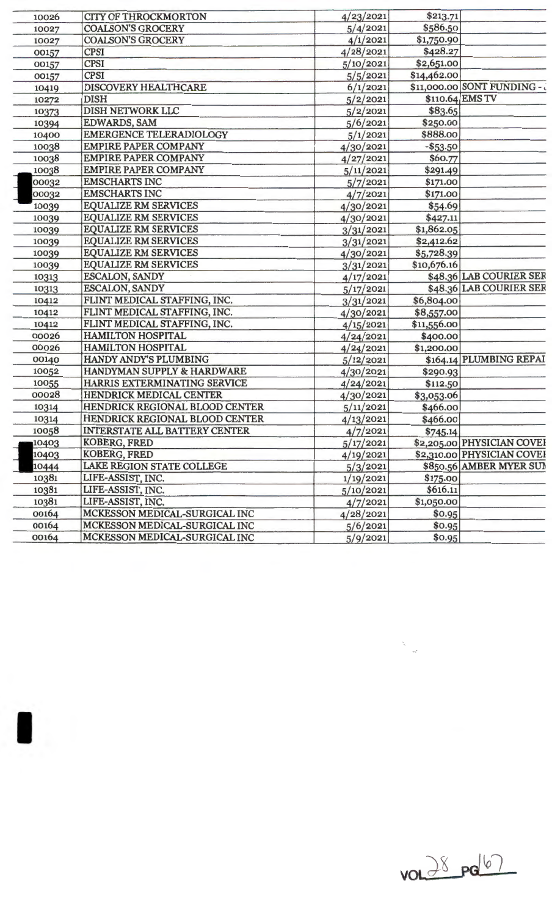| 10026 | <b>CITY OF THROCKMORTON</b>          | 4/23/2021 | \$213.71    |                              |
|-------|--------------------------------------|-----------|-------------|------------------------------|
| 10027 | <b>COALSON'S GROCERY</b>             | 5/4/2021  | \$586.50    |                              |
| 10027 | <b>COALSON'S GROCERY</b>             | 4/1/2021  | \$1,750.90  |                              |
| 00157 | <b>CPSI</b>                          | 4/28/2021 | \$428.27    |                              |
| 00157 | <b>CPSI</b>                          | 5/10/2021 | \$2,651.00  |                              |
| 00157 | <b>CPSI</b>                          | 5/5/2021  | \$14,462.00 |                              |
| 10419 | DISCOVERY HEALTHCARE                 | 6/1/2021  |             | \$11,000.00 SONT FUNDING - . |
| 10272 | <b>DISH</b>                          | 5/2/2021  |             | \$110.64 EMS TV              |
| 10373 | DISH NETWORK LLC                     | 5/2/2021  | \$83.65     |                              |
| 10394 | <b>EDWARDS, SAM</b>                  | 5/6/2021  | \$250.00    |                              |
| 10400 | <b>EMERGENCE TELERADIOLOGY</b>       | 5/1/2021  | \$888.00    |                              |
| 10038 | <b>EMPIRE PAPER COMPANY</b>          | 4/30/2021 | $- $53.50$  |                              |
| 10038 | <b>EMPIRE PAPER COMPANY</b>          | 4/27/2021 | \$60.77     |                              |
| 10038 | <b>EMPIRE PAPER COMPANY</b>          | 5/11/2021 | \$291.49    |                              |
| 00032 | <b>EMSCHARTS INC</b>                 | 5/7/2021  | \$171.00    |                              |
| 00032 | <b>EMSCHARTS INC</b>                 | 4/7/2021  | \$171.00    |                              |
| 10039 | <b>EQUALIZE RM SERVICES</b>          | 4/30/2021 | \$54.69     |                              |
| 10039 | <b>EQUALIZE RM SERVICES</b>          | 4/30/2021 | \$427.11    |                              |
| 10039 | <b>EQUALIZE RM SERVICES</b>          | 3/31/2021 | \$1,862.05  |                              |
| 10039 | <b>EQUALIZE RM SERVICES</b>          | 3/31/2021 | \$2,412.62  |                              |
| 10039 | <b>EQUALIZE RM SERVICES</b>          | 4/30/2021 | \$5,728.39  |                              |
| 10039 | <b>EQUALIZE RM SERVICES</b>          | 3/31/2021 | \$10,676.16 |                              |
| 10313 | ESCALON, SANDY                       | 4/17/2021 |             | \$48.36 LAB COURIER SER      |
| 10313 | ESCALON, SANDY                       | 5/17/2021 |             | \$48.36 LAB COURIER SER      |
| 10412 | FLINT MEDICAL STAFFING, INC.         | 3/31/2021 | \$6,804.00  |                              |
| 10412 | FLINT MEDICAL STAFFING, INC.         | 4/30/2021 | \$8,557.00  |                              |
| 10412 | FLINT MEDICAL STAFFING, INC.         | 4/15/2021 | \$11,556.00 |                              |
| 00026 | <b>HAMILTON HOSPITAL</b>             | 4/24/2021 | \$400.00    |                              |
| 00026 | <b>HAMILTON HOSPITAL</b>             | 4/24/2021 | \$1,200.00  |                              |
| 00140 | HANDY ANDY'S PLUMBING                | 5/12/2021 |             | \$164.14 PLUMBING REPAI      |
| 10052 | HANDYMAN SUPPLY & HARDWARE           | 4/30/2021 | \$290.93    |                              |
| 10055 | HARRIS EXTERMINATING SERVICE         | 4/24/2021 | \$112.50    |                              |
| 00028 | HENDRICK MEDICAL CENTER              | 4/30/2021 | \$3,053.06  |                              |
| 10314 | HENDRICK REGIONAL BLOOD CENTER       | 5/11/2021 | \$466.00    |                              |
| 10314 | HENDRICK REGIONAL BLOOD CENTER       | 4/13/2021 | \$466.00    |                              |
| 10058 | <b>INTERSTATE ALL BATTERY CENTER</b> | 4/7/2021  | \$745.14    |                              |
| 10403 | <b>KOBERG, FRED</b>                  | 5/17/2021 |             | \$2,205.00 PHYSICIAN COVEI   |
| 10403 | <b>KOBERG, FRED</b>                  | 4/19/2021 |             | \$2,310.00 PHYSICIAN COVEI   |
| 10444 | <b>LAKE REGION STATE COLLEGE</b>     | 5/3/2021  |             | \$850.56 AMBER MYER SUI      |
| 10381 | LIFE-ASSIST, INC.                    | 1/19/2021 | \$175.00    |                              |
| 10381 | LIFE-ASSIST, INC.                    | 5/10/2021 | \$616.11    |                              |
| 10381 | LIFE-ASSIST, INC.                    | 4/7/2021  | \$1,050.00  |                              |
| 00164 | MCKESSON MEDICAL-SURGICAL INC        | 4/28/2021 | \$0.95      |                              |
| 00164 | MCKESSON MEDICAL-SURGICAL INC        | 5/6/2021  | \$0.95      |                              |
| 00164 | MCKESSON MEDICAL-SURGICAL INC        | 5/9/2021  | \$0.95      |                              |
|       |                                      |           |             |                              |

 $\blacksquare$ 



 $\label{eq:2.1} \frac{d\mathbf{r}}{dt} = \frac{1}{2\pi}\sum_{i=1}^N \frac{d\mathbf{r}}{dt}$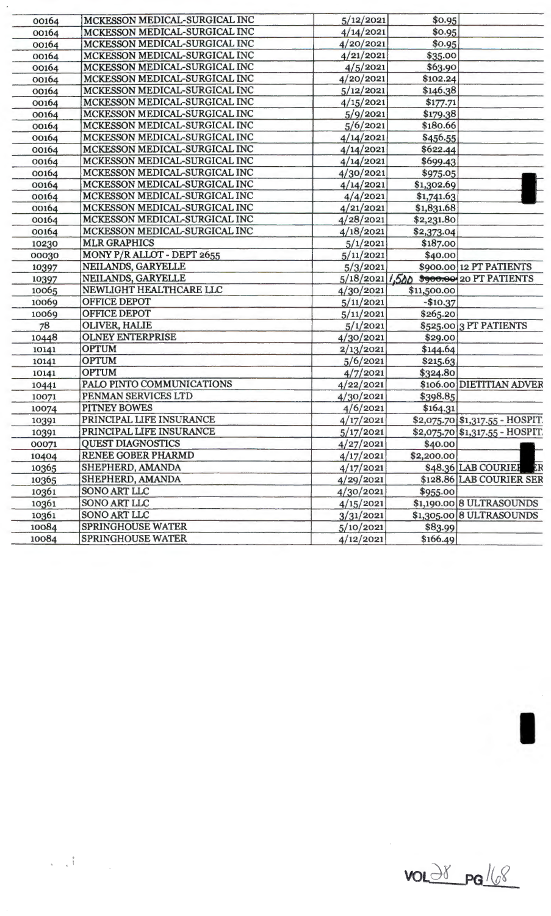| 00164 | MCKESSON MEDICAL-SURGICAL INC | 5/12/2021 | \$0.95      |                                         |
|-------|-------------------------------|-----------|-------------|-----------------------------------------|
| 00164 | MCKESSON MEDICAL-SURGICAL INC | 4/14/2021 | \$0.95      |                                         |
| 00164 | MCKESSON MEDICAL-SURGICAL INC | 4/20/2021 | \$0.95      |                                         |
| 00164 | MCKESSON MEDICAL-SURGICAL INC | 4/21/2021 | \$35.00     |                                         |
| 00164 | MCKESSON MEDICAL-SURGICAL INC | 4/5/2021  | \$63.90     |                                         |
| 00164 | MCKESSON MEDICAL-SURGICAL INC | 4/20/2021 | \$102.24    |                                         |
| 00164 | MCKESSON MEDICAL-SURGICAL INC | 5/12/2021 | \$146.38    |                                         |
| 00164 | MCKESSON MEDICAL-SURGICAL INC | 4/15/2021 | \$177.71    |                                         |
| 00164 | MCKESSON MEDICAL-SURGICAL INC | 5/9/2021  | \$179.38    |                                         |
| 00164 | MCKESSON MEDICAL-SURGICAL INC | 5/6/2021  | \$180.66    |                                         |
| 00164 | MCKESSON MEDICAL-SURGICAL INC | 4/14/2021 | \$456.55    |                                         |
| 00164 | MCKESSON MEDICAL-SURGICAL INC | 4/14/2021 | \$622.44    |                                         |
| 00164 | MCKESSON MEDICAL-SURGICAL INC | 4/14/2021 | \$699.43    |                                         |
| 00164 | MCKESSON MEDICAL-SURGICAL INC | 4/30/2021 | \$975.05    |                                         |
| 00164 | MCKESSON MEDICAL-SURGICAL INC | 4/14/2021 | \$1,302.69  |                                         |
| 00164 | MCKESSON MEDICAL-SURGICAL INC | 4/4/2021  | \$1,741.63  |                                         |
| 00164 | MCKESSON MEDICAL-SURGICAL INC | 4/21/2021 | \$1,831.68  |                                         |
| 00164 | MCKESSON MEDICAL-SURGICAL INC | 4/28/2021 | \$2,231.80  |                                         |
| 00164 | MCKESSON MEDICAL-SURGICAL INC | 4/18/2021 | \$2,373.04  |                                         |
| 10230 | <b>MLR GRAPHICS</b>           | 5/1/2021  | \$187.00    |                                         |
| 00030 | MONY P/R ALLOT - DEPT 2655    | 5/11/2021 | \$40.00     |                                         |
| 10397 | NEILANDS, GARYELLE            | 5/3/2021  |             | \$900.00 12 PT PATIENTS                 |
| 10397 | NEILANDS, GARYELLE            |           |             | 5/18/2021 1,500 \$900.00 20 PT PATIENTS |
| 10065 | NEWLIGHT HEALTHCARE LLC       | 4/30/2021 | \$11,500.00 |                                         |
| 10069 | <b>OFFICE DEPOT</b>           | 5/11/2021 | $-$10.37$   |                                         |
| 10069 | <b>OFFICE DEPOT</b>           | 5/11/2021 | \$265.20    |                                         |
| 78    | <b>OLIVER, HALIE</b>          | 5/1/2021  |             | \$525.00 3 PT PATIENTS                  |
| 10448 | <b>OLNEY ENTERPRISE</b>       | 4/30/2021 | \$29.00     |                                         |
| 10141 | <b>OPTUM</b>                  | 2/13/2021 | \$144.64    |                                         |
| 10141 | <b>OPTUM</b>                  | 5/6/2021  | \$215.63    |                                         |
| 10141 | <b>OPTUM</b>                  | 4/7/2021  | \$324.80    |                                         |
| 10441 | PALO PINTO COMMUNICATIONS     | 4/22/2021 |             | \$106.00 DIETITIAN ADVER                |
| 10071 | PENMAN SERVICES LTD           | 4/30/2021 | \$398.85    |                                         |
| 10074 | <b>PITNEY BOWES</b>           | 4/6/2021  | \$164.31    |                                         |
| 10391 | PRINCIPAL LIFE INSURANCE      | 4/17/2021 |             | \$2,075.70 \$1,317.55 - HOSPIT.         |
| 10391 | PRINCIPAL LIFE INSURANCE      | 5/17/2021 |             | \$2,075.70 \$1,317.55 - HOSPIT.         |
| 00071 | <b>QUEST DIAGNOSTICS</b>      | 4/27/2021 | \$40.00     |                                         |
| 10404 | RENEE GOBER PHARMD            | 4/17/2021 | \$2,200.00  |                                         |
| 10365 | SHEPHERD, AMANDA              | 4/17/2021 |             | \$48.36 LAB COURIER<br>ËR               |
| 10365 | SHEPHERD, AMANDA              | 4/29/2021 |             | \$128.86 LAB COURIER SER                |
| 10361 | SONO ART LLC                  | 4/30/2021 | \$955.00    |                                         |
| 10361 | <b>SONO ART LLC</b>           | 4/15/2021 |             | \$1,190.00 8 ULTRASOUNDS                |
| 10361 | <b>SONO ART LLC</b>           | 3/31/2021 |             | \$1,305.00 8 ULTRASOUNDS                |
| 10084 | <b>SPRINGHOUSE WATER</b>      | 5/10/2021 | \$83.99     |                                         |
| 10084 | <b>SPRINGHOUSE WATER</b>      | 4/12/2021 | \$166.49    |                                         |
|       |                               |           |             |                                         |

 $vol38$  pg/(8)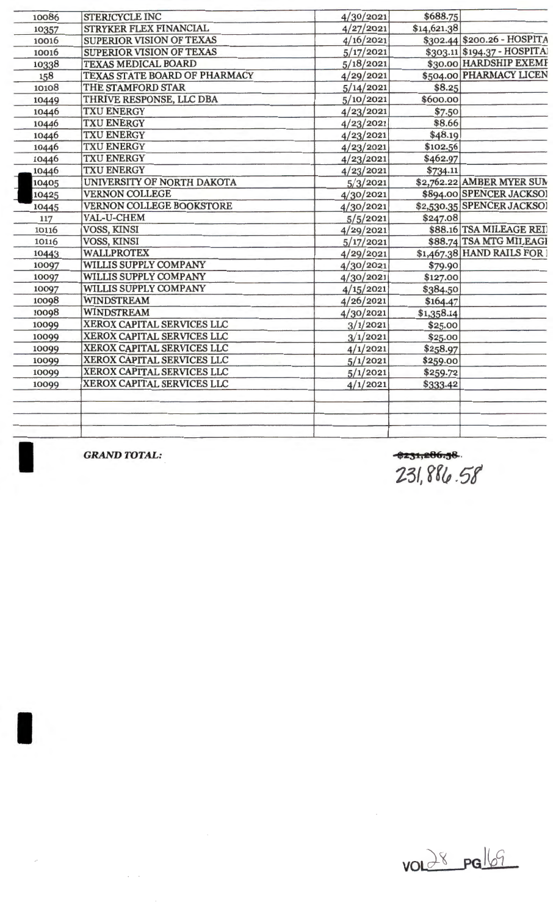| 10086 | <b>STERICYCLE INC</b>           | 4/30/2021 | \$688.75    |                             |
|-------|---------------------------------|-----------|-------------|-----------------------------|
| 10357 | STRYKER FLEX FINANCIAL          | 4/27/2021 | \$14,621.38 |                             |
| 10016 | <b>SUPERIOR VISION OF TEXAS</b> | 4/16/2021 |             | \$302.44 \$200.26 - HOSPITA |
| 10016 | SUPERIOR VISION OF TEXAS        | 5/17/2021 |             | \$303.11 \$194.37 - HOSPITA |
| 10338 | <b>TEXAS MEDICAL BOARD</b>      | 5/18/2021 |             | \$30.00 HARDSHIP EXEME      |
| 158   | TEXAS STATE BOARD OF PHARMACY   | 4/29/2021 |             | \$504.00 PHARMACY LICEN     |
| 10108 | THE STAMFORD STAR               | 5/14/2021 | \$8.25      |                             |
| 10449 | THRIVE RESPONSE, LLC DBA        | 5/10/2021 | \$600.00    |                             |
| 10446 | <b>TXU ENERGY</b>               | 4/23/2021 | \$7.50      |                             |
| 10446 | <b>TXU ENERGY</b>               | 4/23/2021 | \$8.66      |                             |
| 10446 | <b>TXU ENERGY</b>               | 4/23/2021 | \$48.19     |                             |
| 10446 | <b>TXU ENERGY</b>               | 4/23/2021 | \$102.56    |                             |
| 10446 | <b>TXU ENERGY</b>               | 4/23/2021 | \$462.97    |                             |
| 10446 | <b>TXU ENERGY</b>               | 4/23/2021 | \$734.11    |                             |
| 10405 | UNIVERSITY OF NORTH DAKOTA      | 5/3/2021  |             | \$2,762.22 AMBER MYER SUM   |
| 10425 | <b>VERNON COLLEGE</b>           | 4/30/2021 |             | \$894.00 SPENCER JACKSOI    |
| 10445 | VERNON COLLEGE BOOKSTORE        | 4/30/2021 |             | \$2,530.35 SPENCER JACKSOI  |
| 117   | VAL-U-CHEM                      | 5/5/2021  | \$247.08    |                             |
| 10116 | <b>VOSS, KINSI</b>              | 4/29/2021 |             | \$88.16 TSA MILEAGE REI     |
| 10116 | VOSS, KINSI                     | 5/17/2021 |             | \$88.74 TSA MTG MILEAGI     |
| 10443 | <b>WALLPROTEX</b>               | 4/29/2021 |             | \$1,467.38 HAND RAILS FOR   |
| 10097 | WILLIS SUPPLY COMPANY           | 4/30/2021 | \$79.90     |                             |
| 10097 | WILLIS SUPPLY COMPANY           | 4/30/2021 | \$127.00    |                             |
| 10097 | WILLIS SUPPLY COMPANY           | 4/15/2021 | \$384.50    |                             |
| 10098 | <b>WINDSTREAM</b>               | 4/26/2021 | \$164.47    |                             |
| 10098 | <b>WINDSTREAM</b>               | 4/30/2021 | \$1,358.14  |                             |
| 10099 | XEROX CAPITAL SERVICES LLC      | 3/1/2021  | \$25.00     |                             |
| 10099 | XEROX CAPITAL SERVICES LLC      | 3/1/2021  | \$25.00     |                             |
| 10099 | XEROX CAPITAL SERVICES LLC      | 4/1/2021  | \$258.97    |                             |
| 10099 | XEROX CAPITAL SERVICES LLC      | 5/1/2021  | \$259.00    |                             |
| 10099 | XEROX CAPITAL SERVICES LLC      | 5/1/2021  | \$259.72    |                             |
| 10099 | XEROX CAPITAL SERVICES LLC      | 4/1/2021  | \$333.42    |                             |
|       |                                 |           |             |                             |

**GRAND TOTAL:** 

<del>\*\*\*\*\*\*\*\*</del><br>231,886.58

 $volx$  palls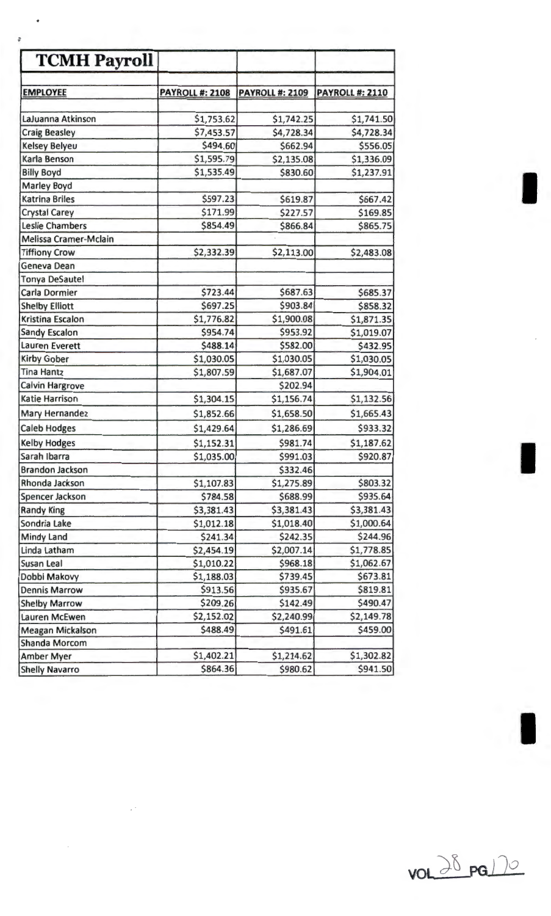| <b>TCMH Payroll</b>                     |                          |                        |                          |
|-----------------------------------------|--------------------------|------------------------|--------------------------|
| <b>EMPLOYEE</b>                         | <b>PAYROLL #: 2108</b>   | <b>PAYROLL #: 2109</b> | <b>PAYROLL #: 2110</b>   |
|                                         |                          |                        |                          |
| LaJuanna Atkinson                       | \$1,753.62               | \$1,742.25             | \$1,741.50               |
| <b>Craig Beasley</b>                    | \$7,453.57<br>\$494.60   | \$4,728.34             | \$4,728.34<br>\$556.05   |
| <b>Kelsey Belyeu</b>                    |                          | \$662.94               |                          |
| Karla Benson                            | \$1,595.79<br>\$1,535.49 | \$2,135.08<br>\$830.60 | \$1,336.09<br>\$1,237.91 |
| <b>Billy Boyd</b><br><b>Marley Boyd</b> |                          |                        |                          |
| <b>Katrina Briles</b>                   | \$597.23                 | \$619.87               | \$667.42                 |
| <b>Crystal Carey</b>                    | \$171.99                 | \$227.57               | \$169.85                 |
| <b>Leslie Chambers</b>                  | \$854.49                 | \$866.84               | \$865.75                 |
| Melissa Cramer-Mclain                   |                          |                        |                          |
| <b>Tiffiony Crow</b>                    | \$2,332.39               | \$2,113.00             | \$2,483.08               |
| Geneva Dean                             |                          |                        |                          |
| <b>Tonya DeSautel</b>                   |                          |                        |                          |
| Carla Dormier                           | \$723.44                 | \$687.63               | \$685.37                 |
| <b>Shelby Elliott</b>                   | \$697.25                 | \$903.84               | \$858.32                 |
| Kristina Escalon                        | \$1,776.82               | \$1,900.08             | \$1,871.35               |
| <b>Sandy Escalon</b>                    | \$954.74                 | \$953.92               | \$1,019.07               |
| <b>Lauren Everett</b>                   | \$488.14                 | \$582.00               | \$432.95                 |
| <b>Kirby Gober</b>                      | \$1,030.05               | \$1,030.05             | \$1,030.05               |
| <b>Tina Hantz</b>                       | \$1,807.59               | \$1,687.07             | \$1,904.01               |
| <b>Calvin Hargrove</b>                  |                          | \$202.94               |                          |
| <b>Katie Harrison</b>                   | \$1,304.15               | \$1,156.74             | \$1,132.56               |
| <b>Mary Hernandez</b>                   | \$1,852.66               | \$1,658.50             | \$1,665.43               |
| <b>Caleb Hodges</b>                     | \$1,429.64               | \$1,286.69             | \$933.32                 |
| <b>Kelby Hodges</b>                     | \$1,152.31               | \$981.74               | \$1,187.62               |
| Sarah Ibarra                            | \$1,035.00               | \$991.03               | \$920.87                 |
| <b>Brandon Jackson</b>                  |                          | \$332.46               |                          |
| Rhonda Jackson                          | \$1,107.83               | \$1,275.89             | \$803.32                 |
| Spencer Jackson                         | \$784.58                 | \$688.99               | \$935.64                 |
| <b>Randy King</b>                       | \$3,381.43               | \$3,381.43             | \$3,381.43               |
| Sondria Lake                            | \$1,012.18               | \$1,018.40             | \$1,000.64               |
| <b>Mindy Land</b>                       | \$241.34                 | \$242.35               | \$244.96                 |
| Linda Latham                            | \$2,454.19               | \$2,007.14             | \$1,778.85               |
| <b>Susan Leal</b>                       | \$1,010.22               | \$968.18               | \$1,062.67               |
| Dobbi Makovy                            | \$1,188.03               | \$739.45               | \$673.81                 |
| <b>Dennis Marrow</b>                    | \$913.56                 | \$935.67               | \$819.81                 |
| <b>Shelby Marrow</b>                    | \$209.26                 | \$142.49               | \$490.47                 |
| Lauren McEwen                           | \$2,152.02               | \$2,240.99             | \$2,149.78               |
| <b>Meagan Mickalson</b>                 | \$488.49                 | \$491.61               | \$459.00                 |
| <b>Shanda Morcom</b>                    |                          |                        |                          |
| <b>Amber Myer</b>                       | \$1,402.21               | \$1,214.62             | \$1,302.82               |
| <b>Shelly Navarro</b>                   | \$864.36                 | \$980.62               | \$941.50                 |



I

*:*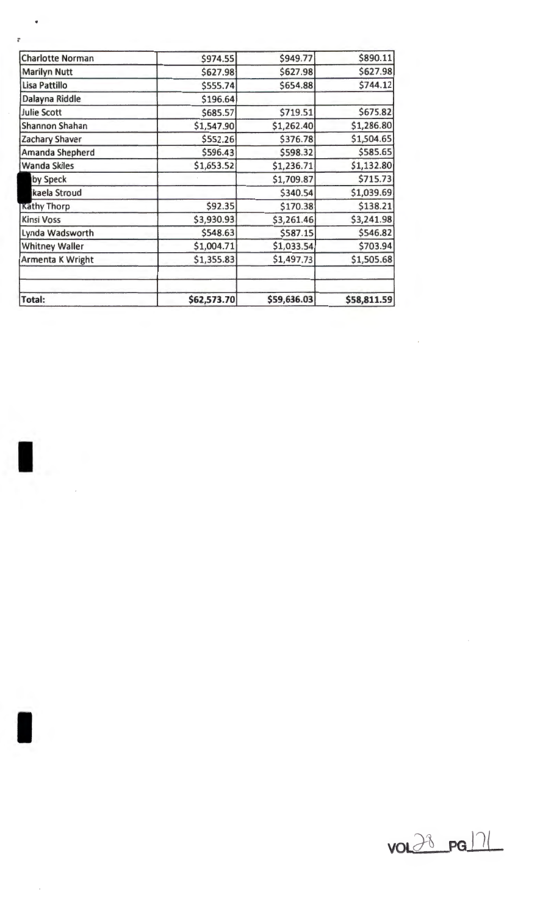| <b>Total:</b>           | \$62,573.70 | \$59,636.03 | \$58,811.59 |
|-------------------------|-------------|-------------|-------------|
|                         |             |             |             |
| Armenta K Wright        | \$1,355.83  | \$1,497.73  | \$1,505.68  |
| <b>Whitney Waller</b>   | \$1,004.71  | \$1,033.54  | \$703.94    |
| Lynda Wadsworth         | \$548.63    | \$587.15    | \$546.82    |
| <b>Kinsi Voss</b>       | \$3,930.93  | \$3,261.46  | \$3,241.98  |
| <b>Kathy Thorp</b>      | \$92.35     | \$170.38    | \$138.21    |
| kaela Stroud            |             | \$340.54    | \$1,039.69  |
| by Speck                |             | \$1,709.87  | \$715.73    |
| <b>Wanda Skiles</b>     | \$1,653.52  | \$1,236.71  | \$1,132.80  |
| Amanda Shepherd         | \$596.43    | \$598.32    | \$585.65    |
| Zachary Shaver          | \$552.26    | \$376.78    | \$1,504.65  |
| <b>Shannon Shahan</b>   | \$1,547.90  | \$1,262.40  | \$1,286.80  |
| <b>Julie Scott</b>      | \$685.57    | \$719.51    | \$675.82    |
| Dalayna Riddle          | \$196.64    |             |             |
| Lisa Pattillo           | \$555.74    | \$654.88    | \$744.12    |
| <b>Marilyn Nutt</b>     | \$627.98    | \$627.98    | \$627.98    |
| <b>Charlotte Norman</b> | \$974.55    | \$949.77    | \$890.11    |

;

 $\bullet$ 

I

 $\hat{\mathcal{L}}$ 

I

 $\overline{\phantom{a}}$ 



 $\hat{\boldsymbol{\beta}}$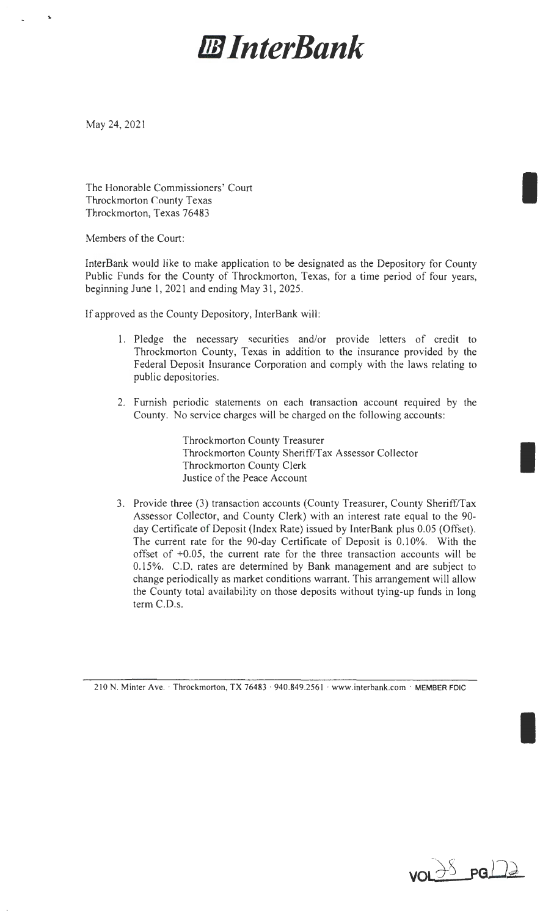# **DJJ** *InterBank*

May 24, 2021

..

The Honorable Commissioners' Court Throckmorton County Texas Throckmorton, Texas 76483

Members of the Court:

InterBank would like to make application to be designated as the Depository for County Public Funds for the County of Throckmorton, Texas, for a time period of four years, beginning June 1, 2021 and ending May 31, 2025.

If approved as the County Depository, InterBank will:

- 1. Pledge the necessary securities and/or provide letters of credit to Throckmorton County, Texas in addition to the insurance provided by the Federal Deposit Insurance Corporation and comply with the Jaws relating to public depositories.
- 2. Furnish periodic statements on each transaction account required by the County. No service charges will be charged on the following accounts:

Throckmorton County Treasurer Throckmorton County Sheriff/Tax Assessor Collector Throckmorton County Clerk Justice of the Peace Account

3. Provide three (3) transaction accounts (County Treasurer, County Sheriff/Tax Assessor Collector, and County Clerk) with an interest rate equal to the 90 day Certificate of Deposit (Index Rate) issued by InterBank plus 0.05 (Offset). The current rate for the 90-day Certificate of Deposit is 0.10%. With the offset of +0.05, the current rate for the three transaction accounts will be 0.15%. C.D. rates are determined by Bank management and are subject to change periodically as market conditions warrant. This arrangement will allow the County total availability on those deposits without tying-up funds in long term C.D.s.

<sup>21</sup> 0 N. Minter Ave.· Throckmorton, TX 76483 · 940.849.2561 · www.interbank.com · MEMBER FDIC



I

I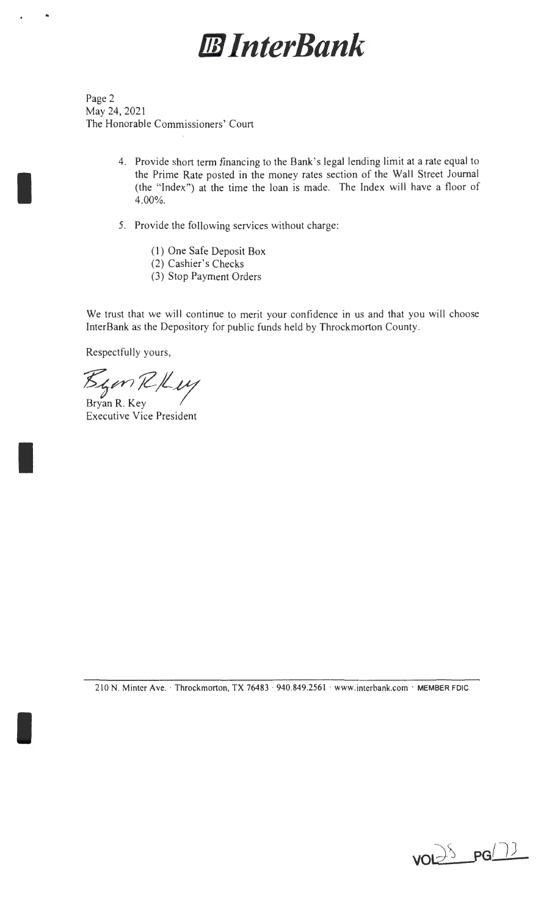## *B* InterBank

Page 2 May 24, 2021 The Honorable Commissioners' Court

..

I

I

I

- 4. Provide short term financing to the Bank's legal lending limit at a rate equal to the Prime Rate posted in the money rates section of the Wall Street Journal (the "Index") at the time the loan is made. The Index will have a floor of 4.00%.
- 5. Provide the following services without charge:
	- ( 1) One Safe Deposit Box
	- (2) Cashier's Checks
	- (3) Stop Payment Orders

We trust that we will continue to merit your confidence in us and that you will choose InterBank as the Depository for public funds held by Throckmorton County.

Respectfully yours,

 $\mathcal{B}_{\mathcal{L}}$ en R/Luy

Executive Vice President

210 N. Minter Ave. · Throckmorton, TX 76483 · 940.849.2561 · www.interbank.com · MEMBER FDIC

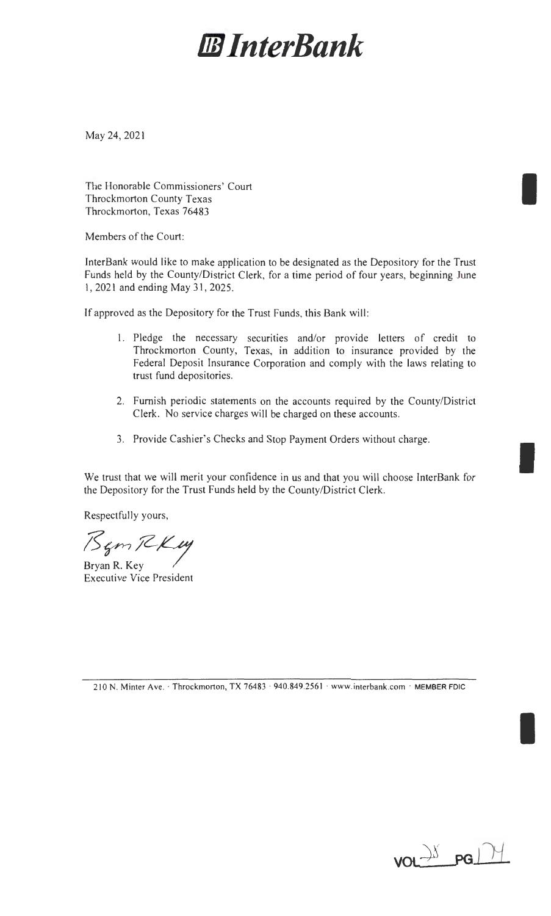## *lI8 InterBank*

May 24, 2021

The Honorable Commissioners' Court Throckmorton County Texas Throckmorton, Texas 76483

Members of the Court:

InterBank would like to make application to be designated as the Depository for the Trust Funds held by the County/District Clerk, for a time period of four years, beginning June 1, 2021 and ending May 31, 2025.

If approved as the Depository for the Trust Funds, this Bank will:

- 1. Pledge the necessary securities and/or provide letters of credit to Throckmorton County, Texas, in addition to insurance provided by the Federal Deposit Insurance Corporation and comply with the laws relating to trust fund depositories.
- 2. Furnish periodic statements on the accounts required by the County/District Clerk. No service charges will be charged on these accounts.
- 3. Provide Cashier's Checks and Stop Payment Orders without charge.

We trust that we will merit your confidence in us and that you will choose InterBank for the Depository for the Trust Funds held by the County/District Clerk.

Respectfully yours,

Bem RKM

Executive Vice President

2 10 N. Minter Ave.· Throckmorton, TX 76483 · 940.849.256 1 · www.interbank.com · MEMBER FDIC

 $vol$ <sup>y  $pg$ </sup>

I

I